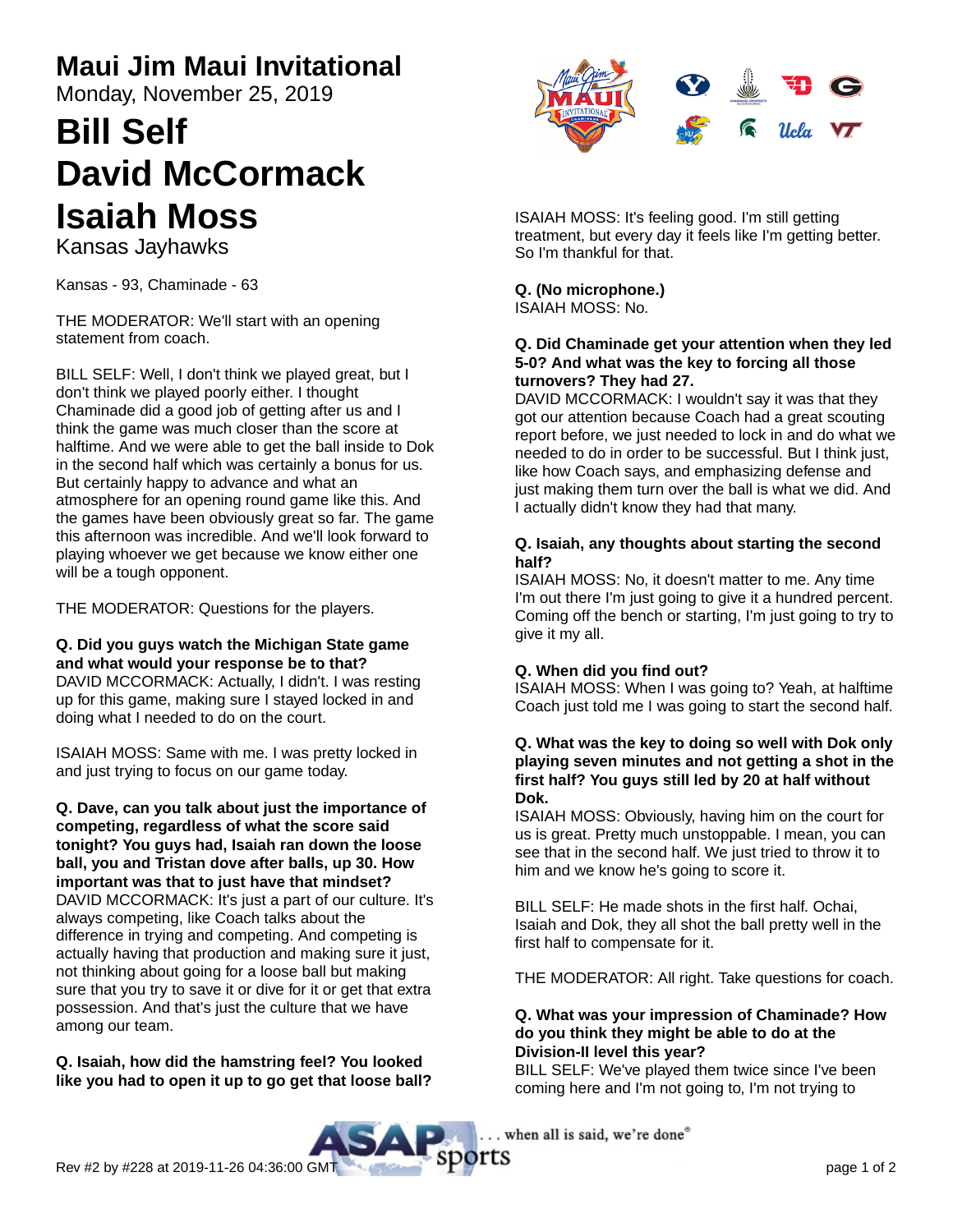# **Maui Jim Maui Invitational**

Monday, November 25, 2019

# **Bill Self David McCormack Isaiah Moss**

Kansas Jayhawks

Kansas - 93, Chaminade - 63

THE MODERATOR: We'll start with an opening statement from coach.

BILL SELF: Well, I don't think we played great, but I don't think we played poorly either. I thought Chaminade did a good job of getting after us and I think the game was much closer than the score at halftime. And we were able to get the ball inside to Dok in the second half which was certainly a bonus for us. But certainly happy to advance and what an atmosphere for an opening round game like this. And the games have been obviously great so far. The game this afternoon was incredible. And we'll look forward to playing whoever we get because we know either one will be a tough opponent.

THE MODERATOR: Questions for the players.

#### **Q. Did you guys watch the Michigan State game and what would your response be to that?**

DAVID MCCORMACK: Actually, I didn't. I was resting up for this game, making sure I stayed locked in and doing what I needed to do on the court.

ISAIAH MOSS: Same with me. I was pretty locked in and just trying to focus on our game today.

**Q. Dave, can you talk about just the importance of competing, regardless of what the score said tonight? You guys had, Isaiah ran down the loose ball, you and Tristan dove after balls, up 30. How important was that to just have that mindset?** DAVID MCCORMACK: It's just a part of our culture. It's always competing, like Coach talks about the difference in trying and competing. And competing is actually having that production and making sure it just, not thinking about going for a loose ball but making sure that you try to save it or dive for it or get that extra possession. And that's just the culture that we have among our team.

**Q. Isaiah, how did the hamstring feel? You looked like you had to open it up to go get that loose ball?**



ISAIAH MOSS: It's feeling good. I'm still getting treatment, but every day it feels like I'm getting better. So I'm thankful for that.

**Q. (No microphone.)** ISAIAH MOSS: No.

#### **Q. Did Chaminade get your attention when they led 5-0? And what was the key to forcing all those turnovers? They had 27.**

DAVID MCCORMACK: I wouldn't say it was that they got our attention because Coach had a great scouting report before, we just needed to lock in and do what we needed to do in order to be successful. But I think just, like how Coach says, and emphasizing defense and just making them turn over the ball is what we did. And I actually didn't know they had that many.

#### **Q. Isaiah, any thoughts about starting the second half?**

ISAIAH MOSS: No, it doesn't matter to me. Any time I'm out there I'm just going to give it a hundred percent. Coming off the bench or starting, I'm just going to try to give it my all.

### **Q. When did you find out?**

ISAIAH MOSS: When I was going to? Yeah, at halftime Coach just told me I was going to start the second half.

#### **Q. What was the key to doing so well with Dok only playing seven minutes and not getting a shot in the first half? You guys still led by 20 at half without Dok.**

ISAIAH MOSS: Obviously, having him on the court for us is great. Pretty much unstoppable. I mean, you can see that in the second half. We just tried to throw it to him and we know he's going to score it.

BILL SELF: He made shots in the first half. Ochai, Isaiah and Dok, they all shot the ball pretty well in the first half to compensate for it.

THE MODERATOR: All right. Take questions for coach.

#### **Q. What was your impression of Chaminade? How do you think they might be able to do at the Division-II level this year?**

BILL SELF: We've played them twice since I've been coming here and I'm not going to, I'm not trying to

. when all is said, we're done"